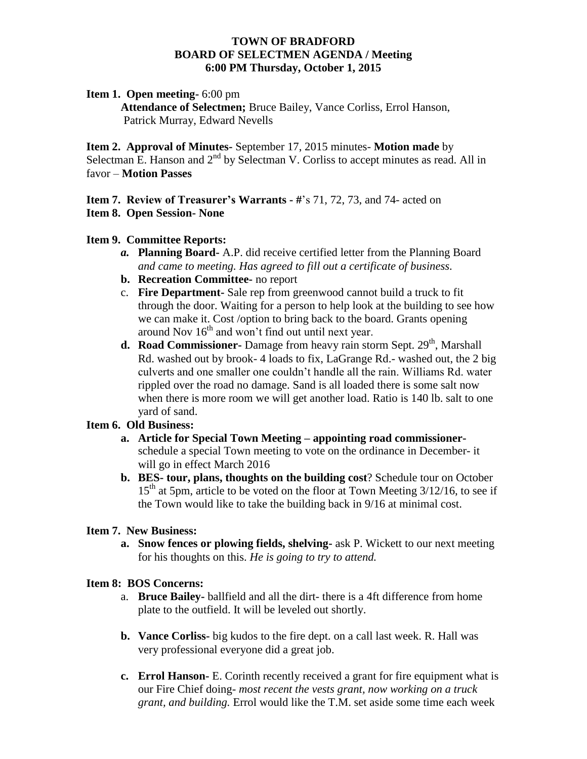## **TOWN OF BRADFORD BOARD OF SELECTMEN AGENDA / Meeting 6:00 PM Thursday, October 1, 2015**

## **Item 1. Open meeting-** 6:00 pm

**Attendance of Selectmen;** Bruce Bailey, Vance Corliss, Errol Hanson, Patrick Murray, Edward Nevells

**Item 2. Approval of Minutes-** September 17, 2015 minutes- **Motion made** by Selectman E. Hanson and  $2<sup>nd</sup>$  by Selectman V. Corliss to accept minutes as read. All in favor – **Motion Passes**

**Item 7. Review of Treasurer's Warrants - #**'s 71, 72, 73, and 74- acted on **Item 8. Open Session- None**

#### **Item 9. Committee Reports:**

- *a.* **Planning Board-** A.P. did receive certified letter from the Planning Board *and came to meeting. Has agreed to fill out a certificate of business.*
- **b. Recreation Committee-** no report
- c. **Fire Department-** Sale rep from greenwood cannot build a truck to fit through the door. Waiting for a person to help look at the building to see how we can make it. Cost /option to bring back to the board. Grants opening around Nov  $16<sup>th</sup>$  and won't find out until next year.
- **d.** Road Commissioner-Damage from heavy rain storm Sept. 29<sup>th</sup>, Marshall Rd. washed out by brook- 4 loads to fix, LaGrange Rd.- washed out, the 2 big culverts and one smaller one couldn't handle all the rain. Williams Rd. water rippled over the road no damage. Sand is all loaded there is some salt now when there is more room we will get another load. Ratio is 140 lb. salt to one yard of sand.

## **Item 6. Old Business:**

- **a. Article for Special Town Meeting – appointing road commissioner**schedule a special Town meeting to vote on the ordinance in December- it will go in effect March 2016
- **b. BES- tour, plans, thoughts on the building cost**? Schedule tour on October  $15<sup>th</sup>$  at 5pm, article to be voted on the floor at Town Meeting 3/12/16, to see if the Town would like to take the building back in 9/16 at minimal cost.

#### **Item 7. New Business:**

**a. Snow fences or plowing fields, shelving-** ask P. Wickett to our next meeting for his thoughts on this. *He is going to try to attend.*

## **Item 8: BOS Concerns:**

- a. **Bruce Bailey-** ballfield and all the dirt- there is a 4ft difference from home plate to the outfield. It will be leveled out shortly.
- **b. Vance Corliss-** big kudos to the fire dept. on a call last week. R. Hall was very professional everyone did a great job.
- **c. Errol Hanson-** E. Corinth recently received a grant for fire equipment what is our Fire Chief doing- *most recent the vests grant, now working on a truck grant, and building.* Errol would like the T.M. set aside some time each week